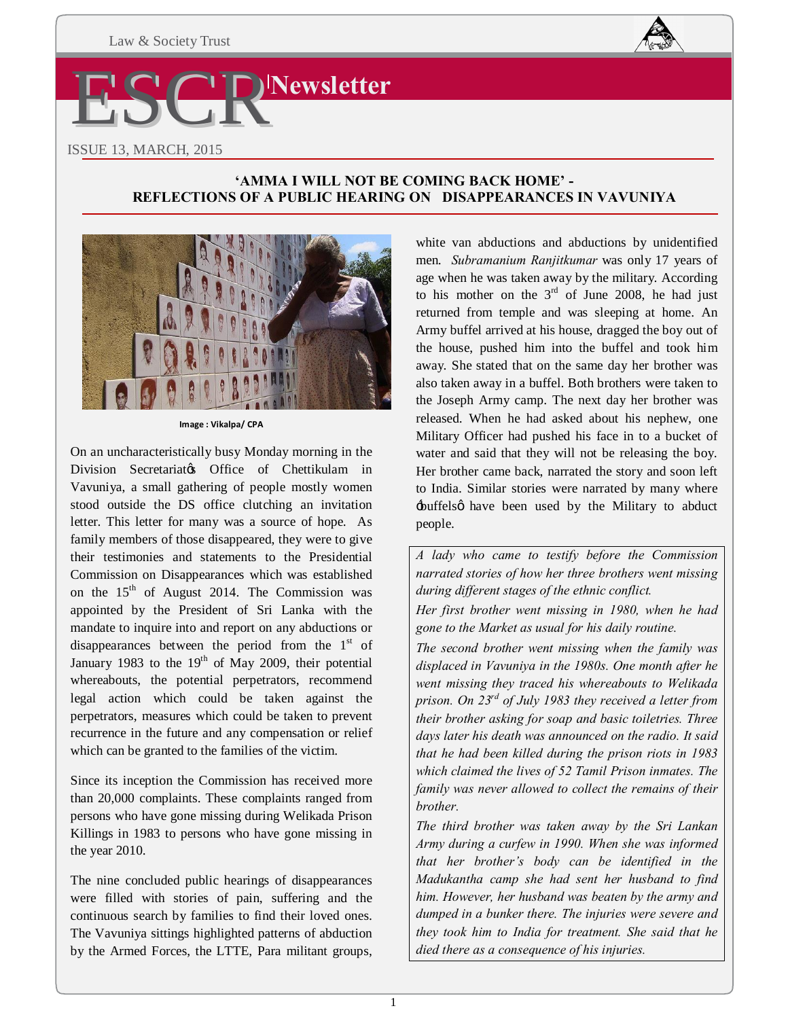

# **'AMMA I WILL NOT BE COMING BACK HOME' - REFLECTIONS OF A PUBLIC HEARING ON DISAPPEARANCES IN VAVUNIYA**



**Image : Vikalpa/ CPA** 

On an uncharacteristically busy Monday morning in the Division Secretariatos Office of Chettikulam in Vavuniya, a small gathering of people mostly women stood outside the DS office clutching an invitation letter. This letter for many was a source of hope. As family members of those disappeared, they were to give their testimonies and statements to the Presidential Commission on Disappearances which was established on the 15<sup>th</sup> of August 2014. The Commission was appointed by the President of Sri Lanka with the mandate to inquire into and report on any abductions or disappearances between the period from the  $1<sup>st</sup>$  of January 1983 to the  $19<sup>th</sup>$  of May 2009, their potential whereabouts, the potential perpetrators, recommend legal action which could be taken against the perpetrators, measures which could be taken to prevent recurrence in the future and any compensation or relief which can be granted to the families of the victim.

Since its inception the Commission has received more than 20,000 complaints. These complaints ranged from persons who have gone missing during Welikada Prison Killings in 1983 to persons who have gone missing in the year 2010.

The nine concluded public hearings of disappearances were filled with stories of pain, suffering and the continuous search by families to find their loved ones. The Vavuniya sittings highlighted patterns of abduction by the Armed Forces, the LTTE, Para militant groups,

white van abductions and abductions by unidentified men. *Subramanium Ranjitkumar* was only 17 years of age when he was taken away by the military. According to his mother on the  $3<sup>rd</sup>$  of June 2008, he had just returned from temple and was sleeping at home. An Army buffel arrived at his house, dragged the boy out of the house, pushed him into the buffel and took him away. She stated that on the same day her brother was also taken away in a buffel. Both brothers were taken to the Joseph Army camp. The next day her brother was released. When he had asked about his nephew, one Military Officer had pushed his face in to a bucket of water and said that they will not be releasing the boy. Her brother came back, narrated the story and soon left to India. Similar stories were narrated by many where 'buffels' have been used by the Military to abduct people.

*A lady who came to testify before the Commission narrated stories of how her three brothers went missing during different stages of the ethnic conflict.* 

*Her first brother went missing in 1980, when he had gone to the Market as usual for his daily routine.* 

*The second brother went missing when the family was displaced in Vavuniya in the 1980s. One month after he went missing they traced his whereabouts to Welikada prison. On 23rd of July 1983 they received a letter from their brother asking for soap and basic toiletries. Three days later his death was announced on the radio. It said that he had been killed during the prison riots in 1983 which claimed the lives of 52 Tamil Prison inmates. The family was never allowed to collect the remains of their brother.* 

*The third brother was taken away by the Sri Lankan Army during a curfew in 1990. When she was informed that her brother's body can be identified in the Madukantha camp she had sent her husband to find him. However, her husband was beaten by the army and dumped in a bunker there. The injuries were severe and they took him to India for treatment. She said that he died there as a consequence of his injuries.*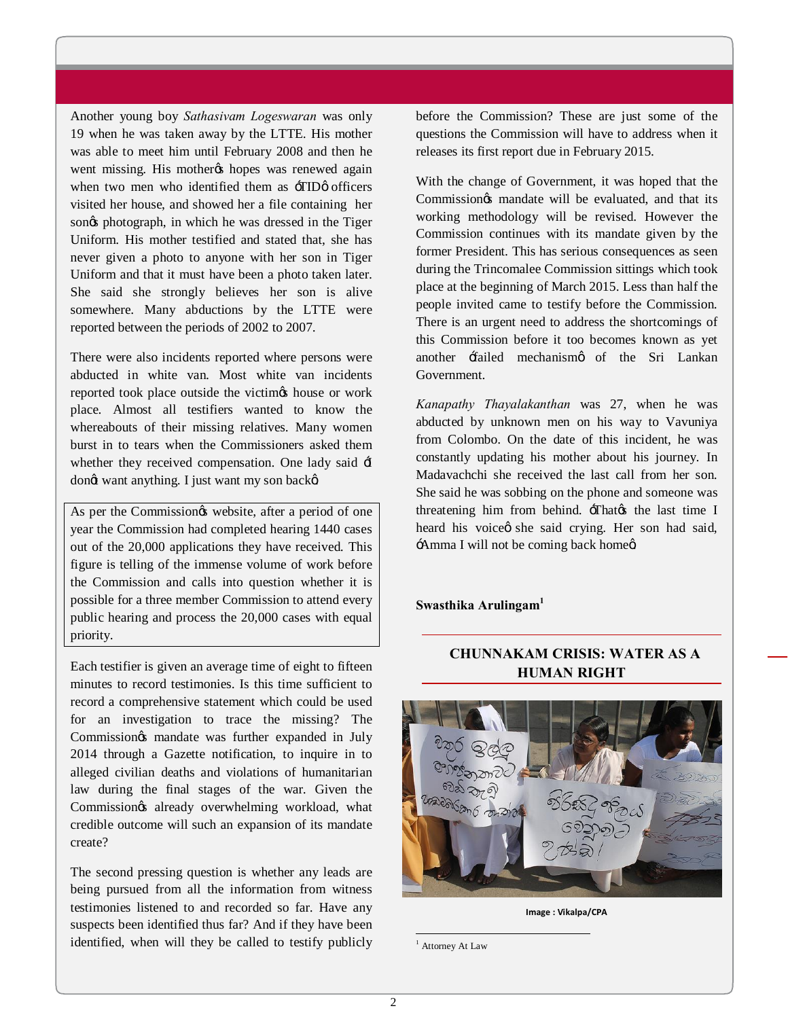Another young boy *Sathasivam Logeswaran* was only 19 when he was taken away by the LTTE. His mother was able to meet him until February 2008 and then he went missing. His mother the hopes was renewed again when two men who identified them as  $-TID\omega$  officers visited her house, and showed her a file containing her songs photograph, in which he was dressed in the Tiger Uniform. His mother testified and stated that, she has never given a photo to anyone with her son in Tiger Uniform and that it must have been a photo taken later. She said she strongly believes her son is alive somewhere. Many abductions by the LTTE were reported between the periods of 2002 to 2007.

There were also incidents reported where persons were abducted in white van. Most white van incidents reported took place outside the victimes house or work place. Almost all testifiers wanted to know the whereabouts of their missing relatives. Many women burst in to tears when the Commissioners asked them whether they received compensation. One lady said  $\pm$ dongt want anything. I just want my son backg.

As per the Commission & website, after a period of one year the Commission had completed hearing 1440 cases out of the 20,000 applications they have received. This figure is telling of the immense volume of work before the Commission and calls into question whether it is possible for a three member Commission to attend every public hearing and process the 20,000 cases with equal priority.

Each testifier is given an average time of eight to fifteen minutes to record testimonies. Is this time sufficient to record a comprehensive statement which could be used for an investigation to trace the missing? The Commission *g*s mandate was further expanded in July 2014 through a Gazette notification, to inquire in to alleged civilian deaths and violations of humanitarian law during the final stages of the war. Given the Commission& already overwhelming workload, what credible outcome will such an expansion of its mandate create?

The second pressing question is whether any leads are being pursued from all the information from witness testimonies listened to and recorded so far. Have any suspects been identified thus far? And if they have been identified, when will they be called to testify publicly before the Commission? These are just some of the questions the Commission will have to address when it releases its first report due in February 2015.

With the change of Government, it was hoped that the Commission $\alpha$  mandate will be evaluated, and that its working methodology will be revised. However the Commission continues with its mandate given by the former President. This has serious consequences as seen during the Trincomalee Commission sittings which took place at the beginning of March 2015. Less than half the people invited came to testify before the Commission. There is an urgent need to address the shortcomings of this Commission before it too becomes known as yet another failed mechanismo of the Sri Lankan Government.

*Kanapathy Thayalakanthan* was 27, when he was abducted by unknown men on his way to Vavuniya from Colombo. On the date of this incident, he was constantly updating his mother about his journey. In Madavachchi she received the last call from her son. She said he was sobbing on the phone and someone was threatening him from behind. That the last time I heard his voice tshe said crying. Her son had said, -Amma I will not be coming back home  $\alpha$ 

**Swasthika Arulingam1**

# **CHUNNAKAM CRISIS: WATER AS A HUMAN RIGHT**



**Image : Vikalpa/CPA** 

<sup>1</sup> Attorney At Law

 $\ddot{ }$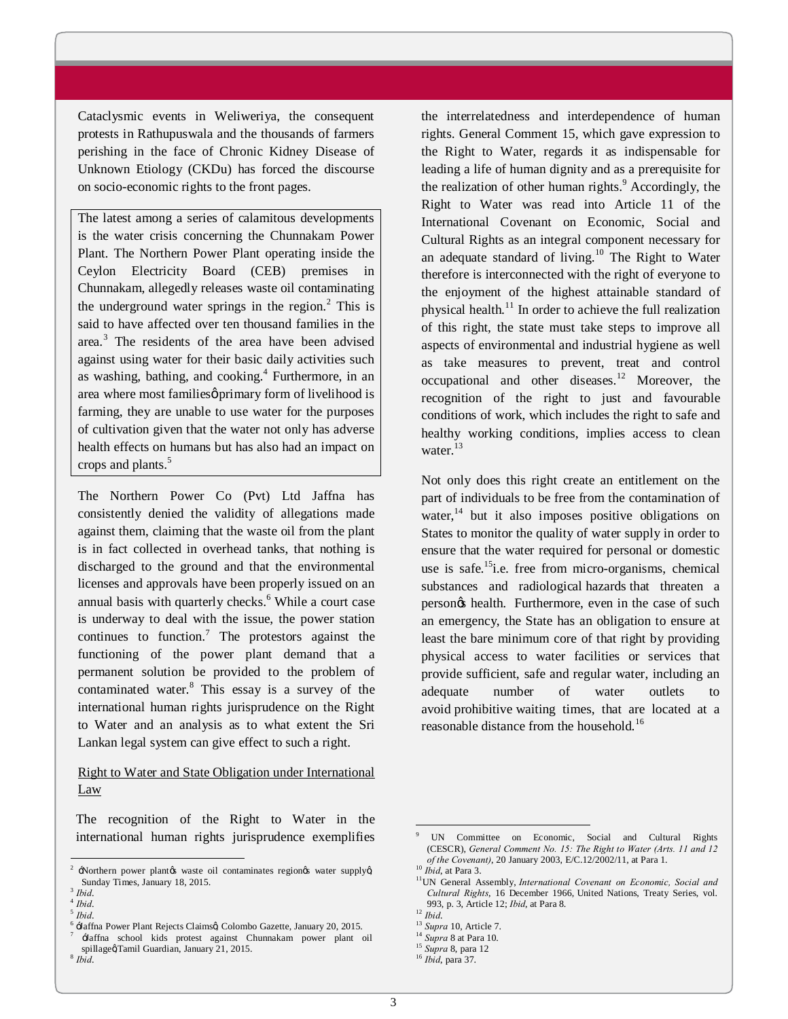Cataclysmic events in Weliweriya, the consequent protests in Rathupuswala and the thousands of farmers perishing in the face of Chronic Kidney Disease of Unknown Etiology (CKDu) has forced the discourse on socio-economic rights to the front pages.

The latest among a series of calamitous developments is the water crisis concerning the Chunnakam Power Plant. The Northern Power Plant operating inside the Ceylon Electricity Board (CEB) premises in Chunnakam, allegedly releases waste oil contaminating the underground water springs in the region. $<sup>2</sup>$  This is</sup> said to have affected over ten thousand families in the area.<sup>3</sup> The residents of the area have been advised against using water for their basic daily activities such as washing, bathing, and cooking. $4$  Furthermore, in an area where most families primary form of livelihood is farming, they are unable to use water for the purposes of cultivation given that the water not only has adverse health effects on humans but has also had an impact on crops and plants.<sup>5</sup>

The Northern Power Co (Pvt) Ltd Jaffna has consistently denied the validity of allegations made against them, claiming that the waste oil from the plant is in fact collected in overhead tanks, that nothing is discharged to the ground and that the environmental licenses and approvals have been properly issued on an annual basis with quarterly checks.<sup>6</sup> While a court case is underway to deal with the issue, the power station continues to function.<sup>7</sup> The protestors against the functioning of the power plant demand that a permanent solution be provided to the problem of contaminated water.<sup>8</sup> This essay is a survey of the international human rights jurisprudence on the Right to Water and an analysis as to what extent the Sri Lankan legal system can give effect to such a right.

# Right to Water and State Obligation under International Law

The recognition of the Right to Water in the international human rights jurisprudence exemplifies

-

the interrelatedness and interdependence of human rights. General Comment 15, which gave expression to the Right to Water, regards it as indispensable for leading a life of human dignity and as a prerequisite for the realization of other human rights. $9$  Accordingly, the Right to Water was read into Article 11 of the International Covenant on Economic, Social and Cultural Rights as an integral component necessary for an adequate standard of living.<sup>10</sup> The Right to Water therefore is interconnected with the right of everyone to the enjoyment of the highest attainable standard of physical health.<sup>11</sup> In order to achieve the full realization of this right, the state must take steps to improve all aspects of environmental and industrial hygiene as well as take measures to prevent, treat and control occupational and other diseases. $12$  Moreover, the recognition of the right to just and favourable conditions of work, which includes the right to safe and healthy working conditions, implies access to clean water.<sup>13</sup>

Not only does this right create an entitlement on the part of individuals to be free from the contamination of water, $14$  but it also imposes positive obligations on States to monitor the quality of water supply in order to ensure that the water required for personal or domestic use is safe.<sup>15</sup>i.e. free from micro-organisms, chemical substances and radiological hazards that threaten a person $\alpha$  health. Furthermore, even in the case of such an emergency, the State has an obligation to ensure at least the bare minimum core of that right by providing physical access to water facilities or services that provide sufficient, safe and regular water, including an adequate number of water outlets to avoid prohibitive waiting times, that are located at a reasonable distance from the household.<sup>16</sup>

 $\ddot{ }$ 

<sup>2</sup> 'Northern power plant's waste oil contaminates region's water supply', Sunday Times, January 18, 2015.<br>
<sup>4</sup> *Ibid.*<br>
<sup>5</sup> *Ibid.*<br>
<sup>4</sup> -Jaffna Power Plant Rejects Claimsø, Colombo Gazette, January 20, 2015.<br>
<sup>7</sup> -Jaffna school kids protest against Chunnakam power plant oil

spillage@Tamil Guardian, January 21, 2015.<br><sup>8</sup> *Ibid.* 

<sup>9</sup> UN Committee on Economic, Social and Cultural Rights (CESCR), *General Comment No. 15: The Right to Water (Arts. 11 and 12* 

*of the Covenant)*, 20 January 2003, *E/C.12.10*, *E/C.1200*<br><sup>11</sup>UN General Assembly, *International Covenant on Economic, Social and*  $P(X|X)$ *Cultural Rights*, 16 December 1966, United Nations, Treaty Series, vol. 993, p. 3, Article 12; *Ibid*, at Para 8. 12 *Ibid*.

<sup>&</sup>lt;sup>13</sup> *Supra* 10, Article 7.<br><sup>14</sup> *Supra* 8 at Para 10.

<sup>&</sup>lt;sup>15</sup> *Supra* 8, para 12

<sup>16</sup> *Ibid*, para 37.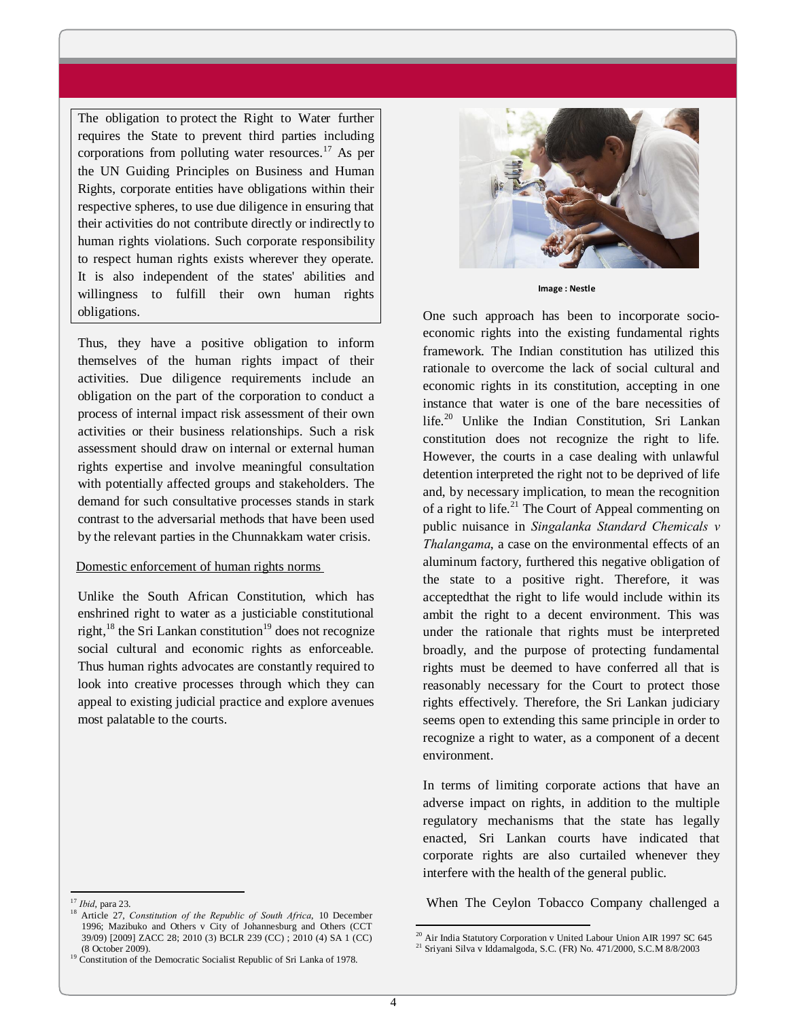The obligation to protect the Right to Water further requires the State to prevent third parties including corporations from polluting water resources.<sup>17</sup> As per the UN Guiding Principles on Business and Human Rights, corporate entities have obligations within their respective spheres, to use due diligence in ensuring that their activities do not contribute directly or indirectly to human rights violations. Such corporate responsibility to respect human rights exists wherever they operate. It is also independent of the states' abilities and willingness to fulfill their own human rights obligations.

Thus, they have a positive obligation to inform themselves of the human rights impact of their activities. Due diligence requirements include an obligation on the part of the corporation to conduct a process of internal impact risk assessment of their own activities or their business relationships. Such a risk assessment should draw on internal or external human rights expertise and involve meaningful consultation with potentially affected groups and stakeholders. The demand for such consultative processes stands in stark contrast to the adversarial methods that have been used by the relevant parties in the Chunnakkam water crisis.

# Domestic enforcement of human rights norms

Unlike the South African Constitution, which has enshrined right to water as a justiciable constitutional right, $^{18}$  the Sri Lankan constitution<sup>19</sup> does not recognize social cultural and economic rights as enforceable. Thus human rights advocates are constantly required to look into creative processes through which they can appeal to existing judicial practice and explore avenues most palatable to the courts.



**Image : Nestle**

One such approach has been to incorporate socioeconomic rights into the existing fundamental rights framework. The Indian constitution has utilized this rationale to overcome the lack of social cultural and economic rights in its constitution, accepting in one instance that water is one of the bare necessities of life.<sup>20</sup> Unlike the Indian Constitution, Sri Lankan constitution does not recognize the right to life. However, the courts in a case dealing with unlawful detention interpreted the right not to be deprived of life and, by necessary implication, to mean the recognition of a right to life.<sup>21</sup> The Court of Appeal commenting on public nuisance in *Singalanka Standard Chemicals v Thalangama*, a case on the environmental effects of an aluminum factory, furthered this negative obligation of the state to a positive right. Therefore, it was acceptedthat the right to life would include within its ambit the right to a decent environment. This was under the rationale that rights must be interpreted broadly, and the purpose of protecting fundamental rights must be deemed to have conferred all that is reasonably necessary for the Court to protect those rights effectively. Therefore, the Sri Lankan judiciary seems open to extending this same principle in order to recognize a right to water, as a component of a decent environment.

In terms of limiting corporate actions that have an adverse impact on rights, in addition to the multiple regulatory mechanisms that the state has legally enacted, Sri Lankan courts have indicated that corporate rights are also curtailed whenever they interfere with the health of the general public.

When The Ceylon Tobacco Company challenged a

 $\overline{a}$ 

 $17$  Ibid, para 23.

<sup>&</sup>lt;sup>18</sup> Article 27, *Constitution of the Republic of South Africa*, 10 December 1996; Mazibuko and Others v City of Johannesburg and Others (CCT 39/09) [2009] ZACC 28; 2010 (3) BCLR 239 (CC) ; 2010 (4) SA 1 (CC)

<sup>&</sup>lt;sup>19</sup> Constitution of the Democratic Socialist Republic of Sri Lanka of 1978.

 $^{20}$ Air India Statutory Corporation v United Labour Union AIR 1997 SC 645 $^{21}$  Sriyani Silva v Iddamalgoda, S.C. (FR) No. 471/2000, S.C.M 8/8/2003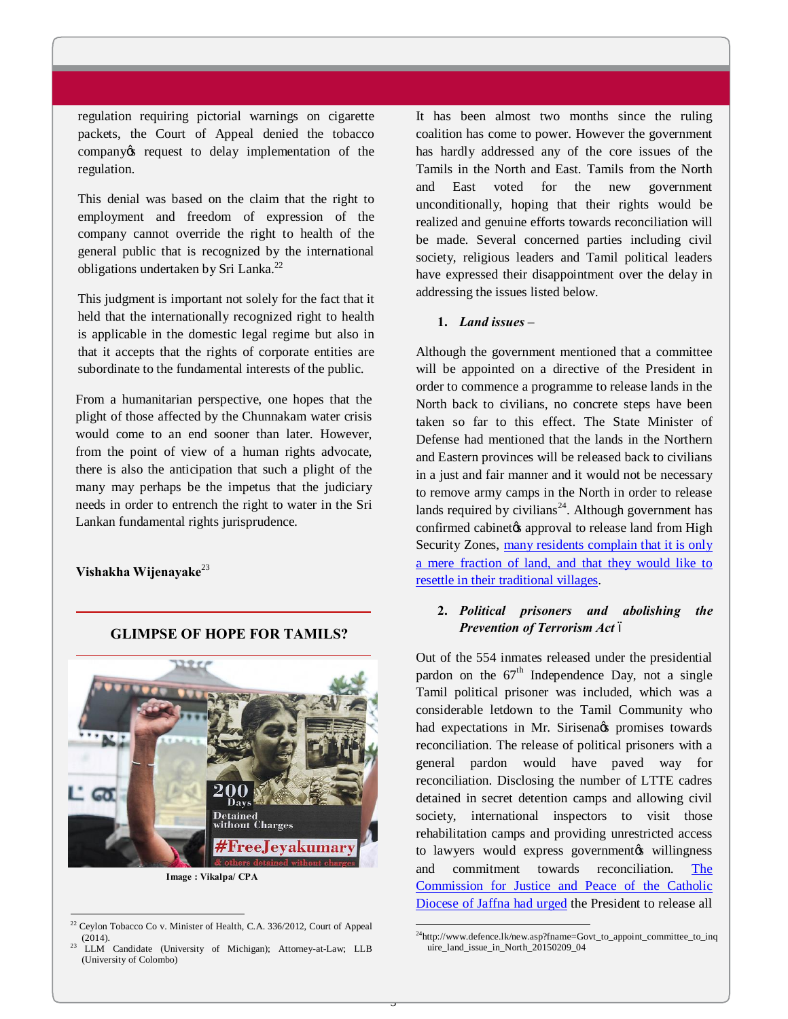regulation requiring pictorial warnings on cigarette packets, the Court of Appeal denied the tobacco company os request to delay implementation of the regulation.

This denial was based on the claim that the right to employment and freedom of expression of the company cannot override the right to health of the general public that is recognized by the international obligations undertaken by Sri Lanka.<sup>22</sup>

This judgment is important not solely for the fact that it held that the internationally recognized right to health is applicable in the domestic legal regime but also in that it accepts that the rights of corporate entities are subordinate to the fundamental interests of the public.

From a humanitarian perspective, one hopes that the plight of those affected by the Chunnakam water crisis would come to an end sooner than later. However, from the point of view of a human rights advocate, there is also the anticipation that such a plight of the many may perhaps be the impetus that the judiciary needs in order to entrench the right to water in the Sri Lankan fundamental rights jurisprudence.

## **Vishakha Wijenayake**<sup>23</sup>

-



**GLIMPSE OF HOPE FOR TAMILS?**

**Image : Vikalpa/ CPA**

It has been almost two months since the ruling coalition has come to power. However the government has hardly addressed any of the core issues of the Tamils in the North and East. Tamils from the North and East voted for the new government unconditionally, hoping that their rights would be realized and genuine efforts towards reconciliation will be made. Several concerned parties including civil society, religious leaders and Tamil political leaders have expressed their disappointment over the delay in addressing the issues listed below.

#### **1.** *Land issues –*

Although the government mentioned that a committee will be appointed on a directive of the President in order to commence a programme to release lands in the North back to civilians, no concrete steps have been taken so far to this effect. The State Minister of Defense had mentioned that the lands in the Northern and Eastern provinces will be released back to civilians in a just and fair manner and it would not be necessary to remove army camps in the North in order to release lands required by civilians<sup>24</sup>. Although government has confirmed cabinetos approval to release land from High Security Zones, many residents complain that it is only a mere fraction of land, and that they would like to resettle in their [traditional villages.](http://www.sundayobserver.lk/2015/02/22/new05.asp)

# **2.** *[Political prisoners and abolishing the](http://www.sundayobserver.lk/2015/02/22/new05.asp)*  **Prevention of Terrorism Act** 6

Out of the 554 inmates released under the presidential pardon on the  $67<sup>th</sup>$  Independence Day, not a single Tamil political prisoner was included, which was a considerable letdown to the Tamil Community who had expectations in Mr. Sirisena $\alpha$ s promises towards reconciliation. The release of political prisoners with a general pardon would have paved way for reconciliation. Disclosing the number of LTTE cadres detained in secret detention camps and allowing civil society, international inspectors to visit those rehabilitation camps and providing unrestricted access to lawyers would express government willingness and commitment towards reconciliation. The Commission for Justice and Peace of the Catholic Diocese of Jaffna had urged the President to release all

 $\ddot{ }$ 

 $22$  Ceylon Tobacco Co v. Minister of Health, C.A. 336/2012, Court of Appeal (2014). <sup>23</sup> LLM Candidate (University of Michigan); Attorney-at-Law; LLB

<sup>(</sup>University of Colombo)

 $^{24}$ http://www.defence.lk/new.asp?fname=Govt\_to\_appoint\_committee\_to\_inq uire\_land\_issue\_in\_North\_20150209\_04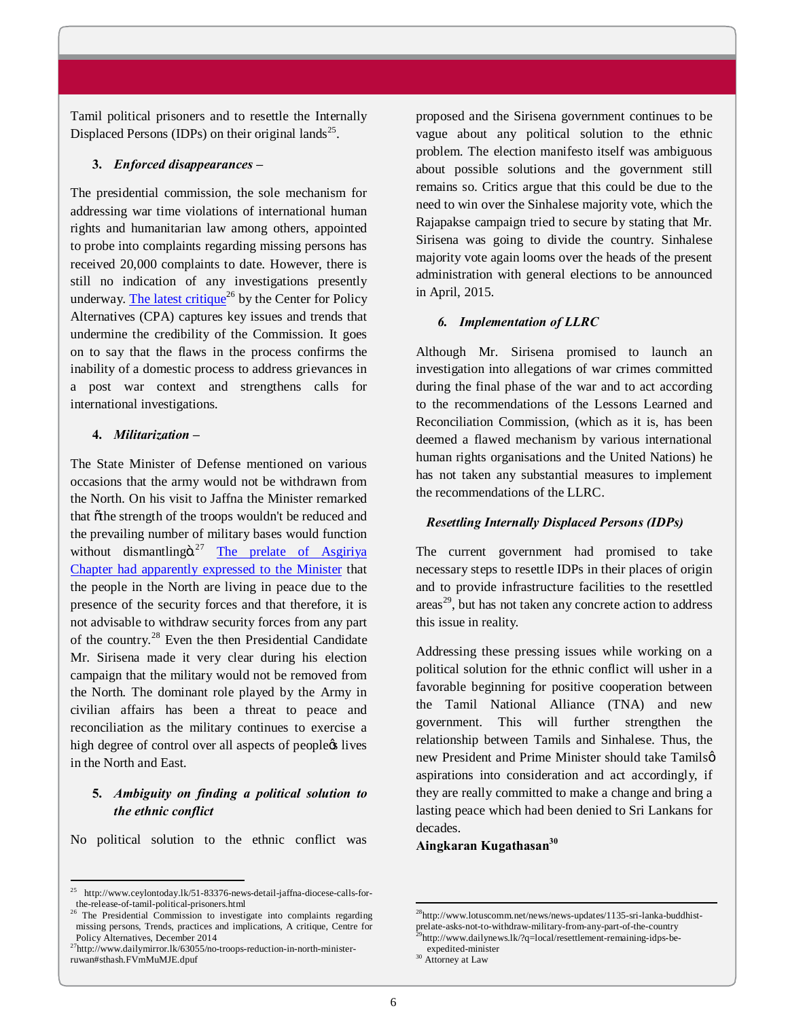Tamil political prisoners and to resettle the Internally Displaced Persons (IDPs) on their original lands<sup>25</sup>.

#### **3.** *Enforced disappearances –*

The presidential commission, the sole mechanism for addressing war time violations of international human rights and humanitarian law among others, appointed to probe into complaints regarding missing persons has received 20,000 complaints to date. However, there is still no indication of any investigations presently underway. The latest critique<sup>26</sup> by the Center for Policy Altern[atives \(CPA\) captur](http://www.cpalanka.org/the-presidential-commission-to-investigate-into-complaints-regarding-missing-persons-trends-practices-and-implications/)es key issues and trends that undermine the credibility of the Commission. It goes on to say that the flaws in the process confirms the inability of a domestic process to address grievances in a post war context and strengthens calls for international investigations.

## **4.** *Militarization –*

The State Minister of Defense mentioned on various occasions that the army would not be withdrawn from the North. On his visit to Jaffna the Minister remarked that õthe strength of the troops wouldn't be reduced and the prevailing number of military bases would function without dismantling $\ddot{\text{o}}^{27}$  The prelate of Asgiriya Chapter had apparently expressed to the Minister that the people in the Nort[h are living in peace due to th](http://www.lotuscomm.net/news/news-updates/1135-sri-lanka-buddhist-prelate-asks-not-to-withdraw-military-from-any-part-of-the-country)e [presence of the security forces and that therefor](http://www.lotuscomm.net/news/news-updates/1135-sri-lanka-buddhist-prelate-asks-not-to-withdraw-military-from-any-part-of-the-country)e, it is not advisable to withdraw security forces from any part of the country.<sup>28</sup> Even the then Presidential Candidate Mr. Sirisena made it very clear during his election campaign that the military would not be removed from the North. The dominant role played by the Army in civilian affairs has been a threat to peace and reconciliation as the military continues to exercise a high degree of control over all aspects of peoplects lives in the North and East.

# **5.** *Ambiguity on finding a political solution to the ethnic conflict*

No political solution to the ethnic conflict was

-

proposed and the Sirisena government continues to be vague about any political solution to the ethnic problem. The election manifesto itself was ambiguous about possible solutions and the government still remains so. Critics argue that this could be due to the need to win over the Sinhalese majority vote, which the Rajapakse campaign tried to secure by stating that Mr. Sirisena was going to divide the country. Sinhalese majority vote again looms over the heads of the present administration with general elections to be announced in April, 2015.

#### *6. Implementation of LLRC*

Although Mr. Sirisena promised to launch an investigation into allegations of war crimes committed during the final phase of the war and to act according to the recommendations of the Lessons Learned and Reconciliation Commission, (which as it is, has been deemed a flawed mechanism by various international human rights organisations and the United Nations) he has not taken any substantial measures to implement the recommendations of the LLRC.

## *Resettling Internally Displaced Persons (IDPs)*

The current government had promised to take necessary steps to resettle IDPs in their places of origin and to provide infrastructure facilities to the resettled  $\arccos^{29}$ , but has not taken any concrete action to address this issue in reality.

Addressing these pressing issues while working on a political solution for the ethnic conflict will usher in a favorable beginning for positive cooperation between the Tamil National Alliance (TNA) and new government. This will further strengthen the relationship between Tamils and Sinhalese. Thus, the new President and Prime Minister should take Tamils' aspirations into consideration and act accordingly, if they are really committed to make a change and bring a lasting peace which had been denied to Sri Lankans for decades.

### **Aingkaran Kugathasan30**

 $\overline{\phantom{0}}$ 

<sup>25</sup> http://www.ceylontoday.lk/51-83376-news-detail-jaffna-diocese-calls-forthe-release-of-tamil-political-prisoners.html

<sup>&</sup>lt;sup>26</sup> The Presidential Commission to investigate into complaints regarding missing persons, Trends, practices and implications, A critique, Centre for Policy Alternatives, December 2014<br><sup>27</sup>http://www.dailymirror.lk/63055/no-troops-reduction-in-north-minister-

ruwan#sthash.FVmMuMJE.dpuf

<sup>28</sup>http://www.lotuscomm.net/news/news-updates/1135-sri-lanka-buddhistprelate-asks-not-to-withdraw-military-from-any-part-of-the-country 29http://www.dailynews.lk/?q=local/resettlement-remaining-idps-be-

expedited-minister

<sup>&</sup>lt;sup>30</sup> Attorney at Law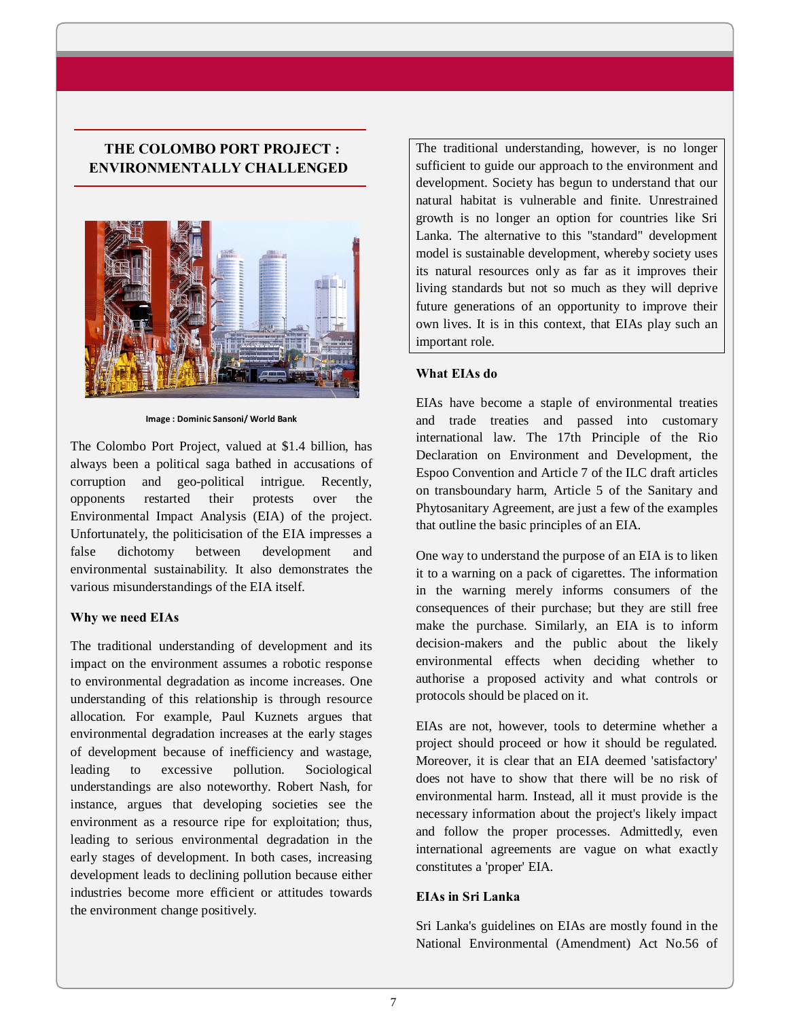# **THE COLOMBO PORT PROJECT : ENVIRONMENTALLY CHALLENGED**



**Image : Dominic Sansoni/ World Bank** 

The Colombo Port Project, valued at \$1.4 billion, has always been a political saga bathed in accusations of corruption and geo-political intrigue. Recently, opponents restarted their protests over the Environmental Impact Analysis (EIA) of the project. Unfortunately, the politicisation of the EIA impresses a false dichotomy between development and environmental sustainability. It also demonstrates the various misunderstandings of the EIA itself.

## **Why we need EIAs**

The traditional understanding of development and its impact on the environment assumes a robotic response to environmental degradation as income increases. One understanding of this relationship is through resource allocation. For example, Paul Kuznets argues that environmental degradation increases at the early stages of development because of inefficiency and wastage, leading to excessive pollution. Sociological understandings are also noteworthy. Robert Nash, for instance, argues that developing societies see the environment as a resource ripe for exploitation; thus, leading to serious environmental degradation in the early stages of development. In both cases, increasing development leads to declining pollution because either industries become more efficient or attitudes towards the environment change positively.

The traditional understanding, however, is no longer sufficient to guide our approach to the environment and development. Society has begun to understand that our natural habitat is vulnerable and finite. Unrestrained growth is no longer an option for countries like Sri Lanka. The alternative to this "standard" development model is sustainable development, whereby society uses its natural resources only as far as it improves their living standards but not so much as they will deprive future generations of an opportunity to improve their own lives. It is in this context, that EIAs play such an important role.

### **What EIAs do**

EIAs have become a staple of environmental treaties and trade treaties and passed into customary international law. The 17th Principle of the Rio Declaration on Environment and Development, the Espoo Convention and Article 7 of the ILC draft articles on transboundary harm, Article 5 of the Sanitary and Phytosanitary Agreement, are just a few of the examples that outline the basic principles of an EIA.

One way to understand the purpose of an EIA is to liken it to a warning on a pack of cigarettes. The information in the warning merely informs consumers of the consequences of their purchase; but they are still free make the purchase. Similarly, an EIA is to inform decision-makers and the public about the likely environmental effects when deciding whether to authorise a proposed activity and what controls or protocols should be placed on it.

EIAs are not, however, tools to determine whether a project should proceed or how it should be regulated. Moreover, it is clear that an EIA deemed 'satisfactory' does not have to show that there will be no risk of environmental harm. Instead, all it must provide is the necessary information about the project's likely impact and follow the proper processes. Admittedly, even international agreements are vague on what exactly constitutes a 'proper' EIA.

### **EIAs in Sri Lanka**

Sri Lanka's guidelines on EIAs are mostly found in the National Environmental (Amendment) Act No.56 of